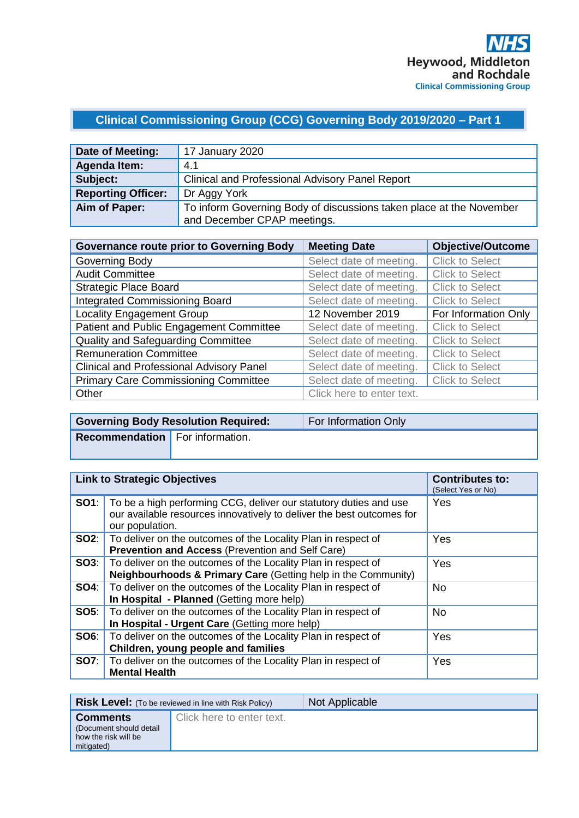# **Clinical Commissioning Group (CCG) Governing Body 2019/2020 – Part 1**

| Date of Meeting:          | 17 January 2020                                                     |
|---------------------------|---------------------------------------------------------------------|
| Agenda Item:              | 4.1                                                                 |
| Subject:                  | <b>Clinical and Professional Advisory Panel Report</b>              |
| <b>Reporting Officer:</b> | Dr Aggy York                                                        |
| Aim of Paper:             | To inform Governing Body of discussions taken place at the November |
|                           | and December CPAP meetings.                                         |

| <b>Governance route prior to Governing Body</b> | <b>Meeting Date</b>       | <b>Objective/Outcome</b> |
|-------------------------------------------------|---------------------------|--------------------------|
| Governing Body                                  | Select date of meeting.   | <b>Click to Select</b>   |
| <b>Audit Committee</b>                          | Select date of meeting.   | <b>Click to Select</b>   |
| <b>Strategic Place Board</b>                    | Select date of meeting.   | <b>Click to Select</b>   |
| <b>Integrated Commissioning Board</b>           | Select date of meeting.   | <b>Click to Select</b>   |
| <b>Locality Engagement Group</b>                | 12 November 2019          | For Information Only     |
| Patient and Public Engagement Committee         | Select date of meeting.   | <b>Click to Select</b>   |
| <b>Quality and Safeguarding Committee</b>       | Select date of meeting.   | <b>Click to Select</b>   |
| <b>Remuneration Committee</b>                   | Select date of meeting.   | <b>Click to Select</b>   |
| <b>Clinical and Professional Advisory Panel</b> | Select date of meeting.   | <b>Click to Select</b>   |
| <b>Primary Care Commissioning Committee</b>     | Select date of meeting.   | <b>Click to Select</b>   |
| Other                                           | Click here to enter text. |                          |

|                                        | <b>Governing Body Resolution Required:</b> | For Information Only |
|----------------------------------------|--------------------------------------------|----------------------|
| <b>Recommendation</b> For information. |                                            |                      |
|                                        |                                            |                      |

| <b>Link to Strategic Objectives</b> |                                                                                                                                                               | <b>Contributes to:</b><br>(Select Yes or No) |
|-------------------------------------|---------------------------------------------------------------------------------------------------------------------------------------------------------------|----------------------------------------------|
| SO1:                                | To be a high performing CCG, deliver our statutory duties and use<br>our available resources innovatively to deliver the best outcomes for<br>our population. | Yes                                          |
|                                     | <b>SO2:</b> To deliver on the outcomes of the Locality Plan in respect of<br><b>Prevention and Access (Prevention and Self Care)</b>                          | Yes                                          |
| SOS:                                | To deliver on the outcomes of the Locality Plan in respect of<br>Neighbourhoods & Primary Care (Getting help in the Community)                                | Yes                                          |
| SO4:                                | To deliver on the outcomes of the Locality Plan in respect of<br>In Hospital - Planned (Getting more help)                                                    | No.                                          |
| <b>SO5:</b>                         | To deliver on the outcomes of the Locality Plan in respect of<br>In Hospital - Urgent Care (Getting more help)                                                | <b>No</b>                                    |
| SO6:                                | To deliver on the outcomes of the Locality Plan in respect of<br>Children, young people and families                                                          | Yes                                          |
| <b>SO7:</b>                         | To deliver on the outcomes of the Locality Plan in respect of<br><b>Mental Health</b>                                                                         | Yes                                          |

|                                                                                   | <b>Risk Level:</b> (To be reviewed in line with Risk Policy) | Not Applicable |
|-----------------------------------------------------------------------------------|--------------------------------------------------------------|----------------|
| <b>Comments</b><br>(Document should detail)<br>how the risk will be<br>mitigated) | Click here to enter text.                                    |                |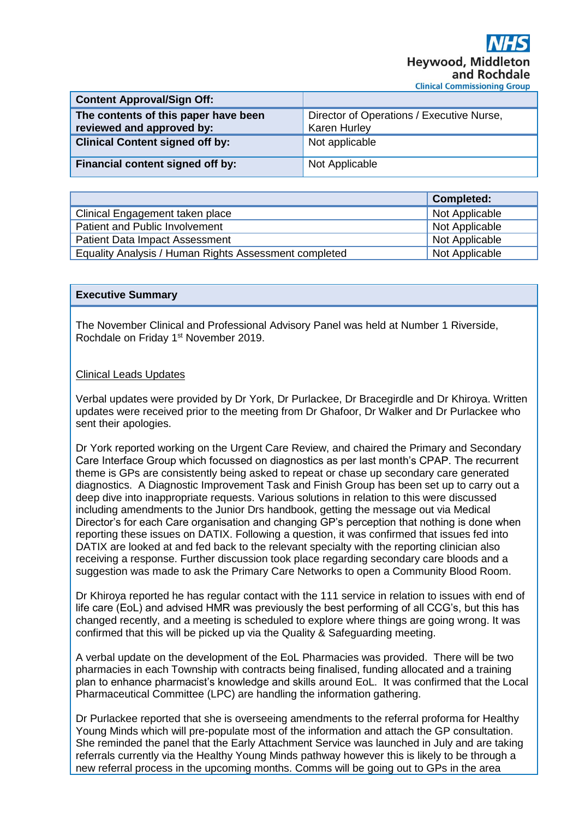| <b>Content Approval/Sign Off:</b>                                 |                                                                  |
|-------------------------------------------------------------------|------------------------------------------------------------------|
| The contents of this paper have been<br>reviewed and approved by: | Director of Operations / Executive Nurse,<br><b>Karen Hurley</b> |
| <b>Clinical Content signed off by:</b>                            | Not applicable                                                   |
| Financial content signed off by:                                  | Not Applicable                                                   |

|                                                       | <b>Completed:</b> |
|-------------------------------------------------------|-------------------|
| Clinical Engagement taken place                       | Not Applicable    |
| Patient and Public Involvement                        | Not Applicable    |
| <b>Patient Data Impact Assessment</b>                 | Not Applicable    |
| Equality Analysis / Human Rights Assessment completed | Not Applicable    |

## **Executive Summary**

The November Clinical and Professional Advisory Panel was held at Number 1 Riverside, Rochdale on Friday 1st November 2019.

## Clinical Leads Updates

Verbal updates were provided by Dr York, Dr Purlackee, Dr Bracegirdle and Dr Khiroya. Written updates were received prior to the meeting from Dr Ghafoor, Dr Walker and Dr Purlackee who sent their apologies.

Dr York reported working on the Urgent Care Review, and chaired the Primary and Secondary Care Interface Group which focussed on diagnostics as per last month's CPAP. The recurrent theme is GPs are consistently being asked to repeat or chase up secondary care generated diagnostics. A Diagnostic Improvement Task and Finish Group has been set up to carry out a deep dive into inappropriate requests. Various solutions in relation to this were discussed including amendments to the Junior Drs handbook, getting the message out via Medical Director's for each Care organisation and changing GP's perception that nothing is done when reporting these issues on DATIX. Following a question, it was confirmed that issues fed into DATIX are looked at and fed back to the relevant specialty with the reporting clinician also receiving a response. Further discussion took place regarding secondary care bloods and a suggestion was made to ask the Primary Care Networks to open a Community Blood Room.

Dr Khiroya reported he has regular contact with the 111 service in relation to issues with end of life care (EoL) and advised HMR was previously the best performing of all CCG's, but this has changed recently, and a meeting is scheduled to explore where things are going wrong. It was confirmed that this will be picked up via the Quality & Safeguarding meeting.

A verbal update on the development of the EoL Pharmacies was provided. There will be two pharmacies in each Township with contracts being finalised, funding allocated and a training plan to enhance pharmacist's knowledge and skills around EoL. It was confirmed that the Local Pharmaceutical Committee (LPC) are handling the information gathering.

Dr Purlackee reported that she is overseeing amendments to the referral proforma for Healthy Young Minds which will pre-populate most of the information and attach the GP consultation. She reminded the panel that the Early Attachment Service was launched in July and are taking referrals currently via the Healthy Young Minds pathway however this is likely to be through a new referral process in the upcoming months. Comms will be going out to GPs in the area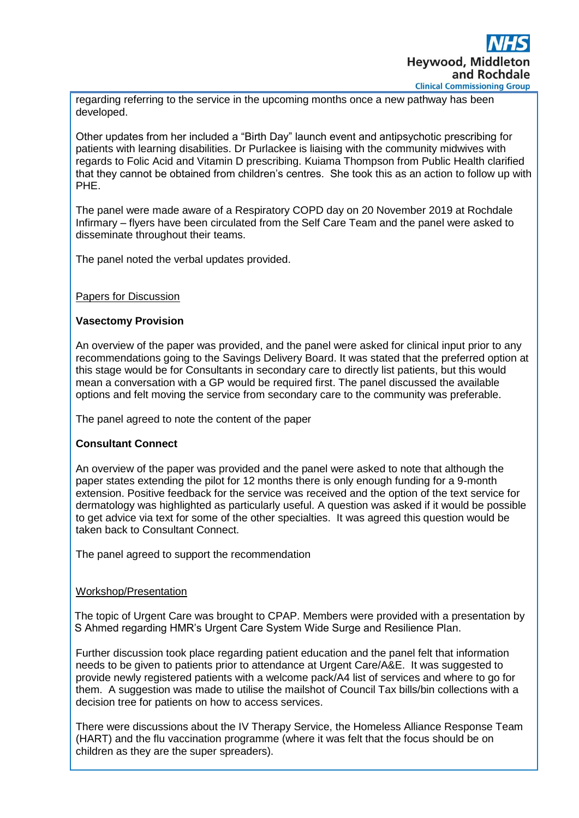

regarding referring to the service in the upcoming months once a new pathway has been developed.

Other updates from her included a "Birth Day" launch event and antipsychotic prescribing for patients with learning disabilities. Dr Purlackee is liaising with the community midwives with regards to Folic Acid and Vitamin D prescribing. Kuiama Thompson from Public Health clarified that they cannot be obtained from children's centres. She took this as an action to follow up with PHE.

The panel were made aware of a Respiratory COPD day on 20 November 2019 at Rochdale Infirmary – flyers have been circulated from the Self Care Team and the panel were asked to disseminate throughout their teams.

The panel noted the verbal updates provided.

## Papers for Discussion

## **Vasectomy Provision**

An overview of the paper was provided, and the panel were asked for clinical input prior to any recommendations going to the Savings Delivery Board. It was stated that the preferred option at this stage would be for Consultants in secondary care to directly list patients, but this would mean a conversation with a GP would be required first. The panel discussed the available options and felt moving the service from secondary care to the community was preferable.

The panel agreed to note the content of the paper

# **Consultant Connect**

An overview of the paper was provided and the panel were asked to note that although the paper states extending the pilot for 12 months there is only enough funding for a 9-month extension. Positive feedback for the service was received and the option of the text service for dermatology was highlighted as particularly useful. A question was asked if it would be possible to get advice via text for some of the other specialties. It was agreed this question would be taken back to Consultant Connect.

The panel agreed to support the recommendation

# Workshop/Presentation

The topic of Urgent Care was brought to CPAP. Members were provided with a presentation by S Ahmed regarding HMR's Urgent Care System Wide Surge and Resilience Plan.

Further discussion took place regarding patient education and the panel felt that information needs to be given to patients prior to attendance at Urgent Care/A&E. It was suggested to provide newly registered patients with a welcome pack/A4 list of services and where to go for them. A suggestion was made to utilise the mailshot of Council Tax bills/bin collections with a decision tree for patients on how to access services.

There were discussions about the IV Therapy Service, the Homeless Alliance Response Team (HART) and the flu vaccination programme (where it was felt that the focus should be on children as they are the super spreaders).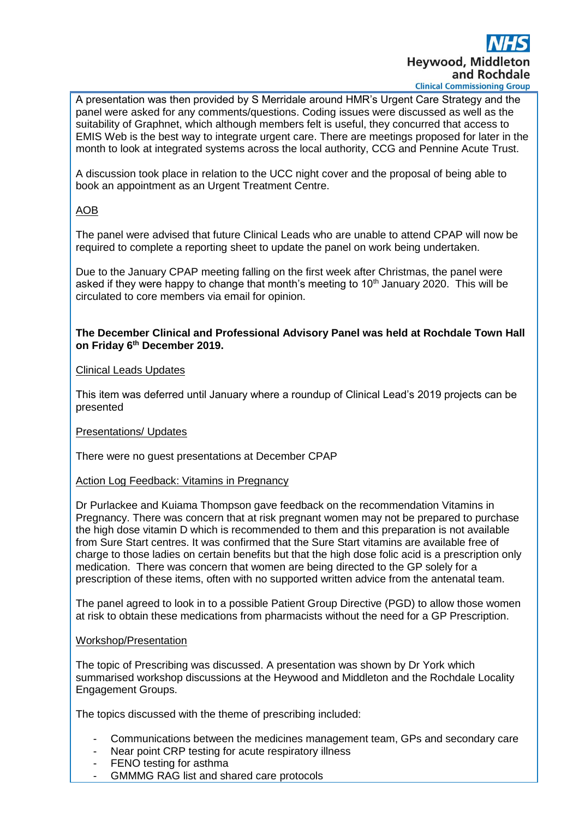

A presentation was then provided by S Merridale around HMR's Urgent Care Strategy and the panel were asked for any comments/questions. Coding issues were discussed as well as the suitability of Graphnet, which although members felt is useful, they concurred that access to EMIS Web is the best way to integrate urgent care. There are meetings proposed for later in the month to look at integrated systems across the local authority, CCG and Pennine Acute Trust.

A discussion took place in relation to the UCC night cover and the proposal of being able to book an appointment as an Urgent Treatment Centre.

# AOB

The panel were advised that future Clinical Leads who are unable to attend CPAP will now be required to complete a reporting sheet to update the panel on work being undertaken.

Due to the January CPAP meeting falling on the first week after Christmas, the panel were asked if they were happy to change that month's meeting to  $10<sup>th</sup>$  January 2020. This will be circulated to core members via email for opinion.

## **The December Clinical and Professional Advisory Panel was held at Rochdale Town Hall on Friday 6th December 2019.**

# Clinical Leads Updates

This item was deferred until January where a roundup of Clinical Lead's 2019 projects can be presented

# Presentations/ Updates

There were no guest presentations at December CPAP

# Action Log Feedback: Vitamins in Pregnancy

Dr Purlackee and Kuiama Thompson gave feedback on the recommendation Vitamins in Pregnancy. There was concern that at risk pregnant women may not be prepared to purchase the high dose vitamin D which is recommended to them and this preparation is not available from Sure Start centres. It was confirmed that the Sure Start vitamins are available free of charge to those ladies on certain benefits but that the high dose folic acid is a prescription only medication. There was concern that women are being directed to the GP solely for a prescription of these items, often with no supported written advice from the antenatal team.

The panel agreed to look in to a possible Patient Group Directive (PGD) to allow those women at risk to obtain these medications from pharmacists without the need for a GP Prescription.

#### Workshop/Presentation

The topic of Prescribing was discussed. A presentation was shown by Dr York which summarised workshop discussions at the Heywood and Middleton and the Rochdale Locality Engagement Groups.

The topics discussed with the theme of prescribing included:

- Communications between the medicines management team, GPs and secondary care
- Near point CRP testing for acute respiratory illness
- FENO testing for asthma
- GMMMG RAG list and shared care protocols